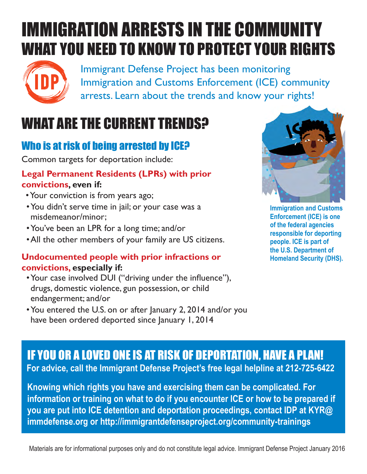# IMMIGRATION ARRESTS IN THE COMMUNITY WHAT YOU NEED TO KNOW TO PROTECT YOUR RIGHTS



Immigrant Defense Project has been monitoring **IDP** Immigratic Defense Project has been monitoring<br>
IDP Immigration and Customs Enforcement (ICE) community arrests. Learn about the trends and know your rights! **2** Immigration an

## WHAT ARE THE CURRENT TRENDS?

#### Who is at risk of being arrested by ICE?

Common targets for deportation include:

#### **Legal Permanent Residents (LPRs) with prior convictions, even if:**

- •Your conviction is from years ago;
- •You didn't serve time in jail; or your case was a misdemeanor/minor;
- •You've been an LPR for a long time; and/or
- •All the other members of your family are US citizens.

#### **Undocumented people with prior infractions or convictions, especially if:**

- •Your case involved DUI ("driving under the infuence"), drugs, domestic violence, gun possession, or child endangerment; and/or
- You entered the U.S. on or after January 2, 2014 and/or you have been ordered deported since January 1, 2014



**Immigration and Customs Enforcement (ICE) is one of the federal agencies responsible for deporting people. ICE is part of the U.S. Department of Homeland Security (DHS).**

#### IF YOU OR A LOVED ONE IS AT RISK OF DEPORTATION, HAVE A PLAN!

**For advice, call the Immigrant Defense Project's free legal helpline at 212-725-6422**

**Knowing which rights you have and exercising them can be complicated. For information or training on what to do if you encounter ICE or how to be prepared if you are put into ICE detention and deportation proceedings, contact IDP at KYR@ immdefense.org or http://immigrantdefenseproject.org/community-trainings**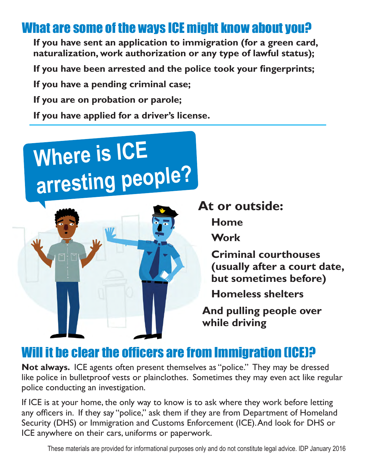#### What are some of the ways ICE might know about you?

**If you have sent an application to immigration (for a green card, naturalization, work authorization or any type of lawful status);**

If you have been arrested and the police took your fingerprints;

**If you have a pending criminal case;**

**If you are on probation or parole;**

**If you have applied for a driver's license.**

# **Where is ICE arresting people?**



**At or outside:**

**Home**

**Work**

**Criminal courthouses (usually after a court date, but sometimes before)**

**Homeless shelters**

**And pulling people over while driving**

#### Will it be clear the officers are from Immigration (ICE)?

**Not always.** ICE agents often present themselves as "police." They may be dressed like police in bulletproof vests or plainclothes. Sometimes they may even act like regular police conducting an investigation.

If ICE is at your home, the only way to know is to ask where they work before letting any officers in. If they say "police," ask them if they are from Department of Homeland Security (DHS) or Immigration and Customs Enforcement (ICE). And look for DHS or ICE anywhere on their cars, uniforms or paperwork.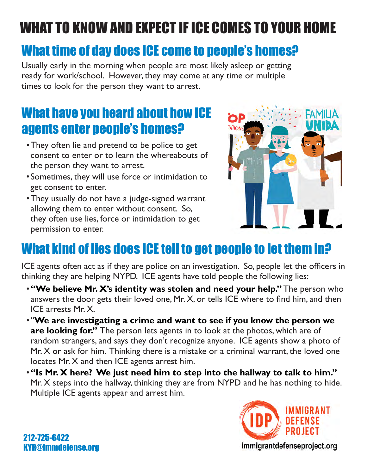# WHAT TO KNOW AND EXPECT IF ICE COMES TO YOUR HOME

#### What time of day does ICE come to people's homes?

Usually early in the morning when people are most likely asleep or getting ready for work/school. However, they may come at any time or multiple times to look for the person they want to arrest.

#### What have you heard about how ICE agents enter people's homes?

- •They often lie and pretend to be police to get consent to enter or to learn the whereabouts of the person they want to arrest.
- •Sometimes, they will use force or intimidation to get consent to enter.
- •They usually do not have a judge-signed warrant allowing them to enter without consent. So, they often use lies, force or intimidation to get permission to enter.



## What kind of lies does ICE tell to get people to let them in?

ICE agents often act as if they are police on an investigation. So, people let the officers in thinking they are helping NYPD. ICE agents have told people the following lies:

- •**"We believe Mr. X's identity was stolen and need your help."** The person who answers the door gets their loved one, Mr. X, or tells ICE where to fnd him, and then ICE arrests Mr. X.
- "**We are investigating a crime and want to see if you know the person we are looking for."** The person lets agents in to look at the photos, which are of random strangers, and says they don't recognize anyone. ICE agents show a photo of Mr. X or ask for him. Thinking there is a mistake or a criminal warrant, the loved one locates Mr. X and then ICE agents arrest him.
- •**"Is Mr. X here? We just need him to step into the hallway to talk to him."** Mr. X steps into the hallway, thinking they are from NYPD and he has nothing to hide. Multiple ICE agents appear and arrest him.

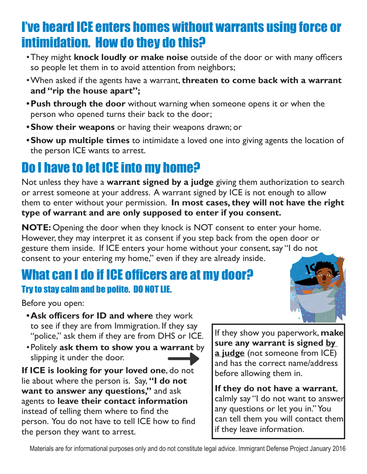#### I've heard ICE enters homes without warrants using force or intimidation. How do they do this?

- •They might **knock loudly or make noise** outside of the door or with many offcers so people let them in to avoid attention from neighbors;
- •When asked if the agents have a warrant, **threaten to come back with a warrant and "rip the house apart";**
- **•Push through the door** without warning when someone opens it or when the person who opened turns their back to the door;
- **•Show their weapons** or having their weapons drawn; or
- **•Show up multiple times** to intimidate a loved one into giving agents the location of the person ICE wants to arrest.

## Do I have to let ICE into my home?

Not unless they have a **warrant signed by a judge** giving them authorization to search or arrest someone at your address. A warrant signed by ICE is not enough to allow them to enter without your permission. **In most cases, they will not have the right type of warrant and are only supposed to enter if you consent.**

**NOTE:** Opening the door when they knock is NOT consent to enter your home. However, they may interpret it as consent if you step back from the open door or gesture them inside. If ICE enters your home without your consent, say "I do not consent to your entering my home," even if they are already inside.

#### What can I do if ICE officers are at my door? Try to stay calm and be polite. DO NOT LIE.

Before you open:

- **•Ask officers for ID and where they work** to see if they are from Immigration. If they say "police," ask them if they are from DHS or ICE.
- •Politely **ask them to show you a warrant** by slipping it under the door.

**If ICE is looking for your loved one**, do not lie about where the person is. Say, **"I do not want to answer any questions,"** and ask agents to **leave their contact information**  instead of telling them where to fnd the person. You do not have to tell ICE how to fnd the person they want to arrest.

If they show you paperwork, **make sure any warrant is signed by a judge** (not someone from ICE) and has the correct name/address before allowing them in.

**If they do not have a warrant**, calmly say "I do not want to answer any questions or let you in." You can tell them you will contact them if they leave information.

Materials are for informational purposes only and do not constitute legal advice. Immigrant Defense Project January 2016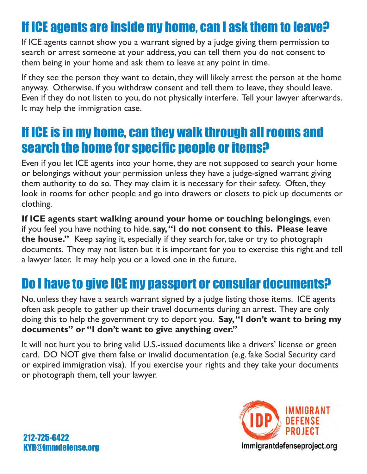#### If ICE agents are inside my home, can I ask them to leave?

If ICE agents cannot show you a warrant signed by a judge giving them permission to search or arrest someone at your address, you can tell them you do not consent to them being in your home and ask them to leave at any point in time.

If they see the person they want to detain, they will likely arrest the person at the home anyway. Otherwise, if you withdraw consent and tell them to leave, they should leave. Even if they do not listen to you, do not physically interfere. Tell your lawyer afterwards. It may help the immigration case.

#### If ICE is in my home, can they walk through all rooms and search the home for specific people or items?

Even if you let ICE agents into your home, they are not supposed to search your home or belongings without your permission unless they have a judge-signed warrant giving them authority to do so. They may claim it is necessary for their safety. Often, they look in rooms for other people and go into drawers or closets to pick up documents or clothing.

**If ICE agents start walking around your home or touching belongings**, even if you feel you have nothing to hide, **say, "I do not consent to this. Please leave the house."** Keep saying it, especially if they search for, take or try to photograph documents. They may not listen but it is important for you to exercise this right and tell a lawyer later. It may help you or a loved one in the future.

#### Do I have to give ICE my passport or consular documents?

No, unless they have a search warrant signed by a judge listing those items. ICE agents often ask people to gather up their travel documents during an arrest. They are only doing this to help the government try to deport you. **Say, "I don't want to bring my documents" or "I don't want to give anything over."** 

It will not hurt you to bring valid U.S.-issued documents like a drivers' license or green card. DO NOT give them false or invalid documentation (e.g. fake Social Security card or expired immigration visa). If you exercise your rights and they take your documents or photograph them, tell your lawyer.

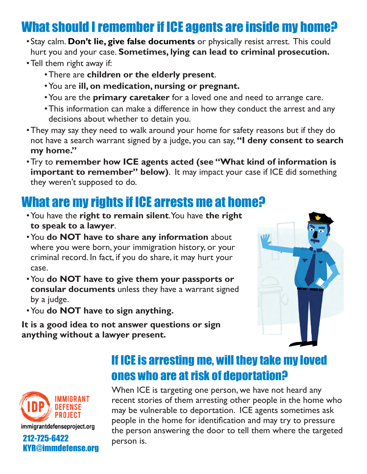#### What should I remember if ICE agents are inside my home?

- •Stay calm. **Don't lie, give false documents** or physically resist arrest. This could hurt you and your case. **Sometimes, lying can lead to criminal prosecution.**
- •Tell them right away if:
	- •There are **children or the elderly present**.
	- •You are **ill, on medication, nursing or pregnant.**
	- •You are the **primary caretaker** for a loved one and need to arrange care.
	- •This information can make a difference in how they conduct the arrest and any decisions about whether to detain you.
- •They may say they need to walk around your home for safety reasons but if they do not have a search warrant signed by a judge, you can say, **"I deny consent to search my home."**
- •Try to **remember how ICE agents acted (see "What kind of information is important to remember" below)**. It may impact your case if ICE did something they weren't supposed to do.

#### What are my rights if ICE arrests me at home?

- •You have the **right to remain silent**. You have **the right to speak to a lawyer**.
- •You **do NOT have to share any information** about where you were born, your immigration history, or your criminal record. In fact, if you do share, it may hurt your case.
- •You **do NOT have to give them your passports or consular documents** unless they have a warrant signed by a judge.
- •You **do NOT have to sign anything.**

**It is a good idea to not answer questions or sign anything without a lawyer present.** 





#### If ICE is arresting me, will they take my loved ones who are at risk of deportation?

When ICE is targeting one person, we have not heard any recent stories of them arresting other people in the home who may be vulnerable to deportation. ICE agents sometimes ask people in the home for identifcation and may try to pressure the person answering the door to tell them where the targeted<br> **212-725-6422** person is.<br> **KYR@immdefense.org**<br> **EXPLANA**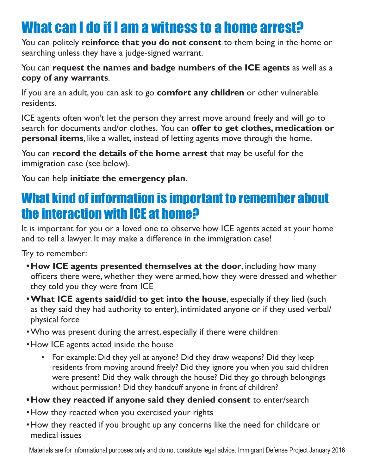## What can I do if I am a witness to a home arrest?

You can politely **reinforce that you do not consent** to them being in the home or searching unless they have a judge-signed warrant.

#### You can **request the names and badge numbers of the ICE agents** as well as a **copy of any warrants**.

If you are an adult, you can ask to go **comfort any children** or other vulnerable residents.

ICE agents often won't let the person they arrest move around freely and will go to search for documents and/or clothes. You can **offer to get clothes, medication or personal items**, like a wallet, instead of letting agents move through the home.

You can **record the details of the home arrest** that may be useful for the immigration case (see below).

You can help **initiate the emergency plan**.

#### What kind of information is important to remember about the interaction with ICE at home?

It is important for you or a loved one to observe how ICE agents acted at your home and to tell a lawyer. It may make a difference in the immigration case!

Try to remember:

- **•How ICE agents presented themselves at the door**, including how many offcers there were, whether they were armed, how they were dressed and whether they told you they were from ICE
- **•What ICE agents said/did to get into the house**, especially if they lied (such as they said they had authority to enter), intimidated anyone or if they used verbal/ physical force
- •Who was present during the arrest, especially if there were children
- •How ICE agents acted inside the house
	- For example: Did they yell at anyone? Did they draw weapons? Did they keep residents from moving around freely? Did they ignore you when you said children were present? Did they walk through the house? Did they go through belongings without permission? Did they handcuff anyone in front of children?
- **•How they reacted if anyone said they denied consent** to enter/search
- •How they reacted when you exercised your rights
- •How they reacted if you brought up any concerns like the need for childcare or medical issues

Materials are for informational purposes only and do not constitute legal advice. Immigrant Defense Project January 2016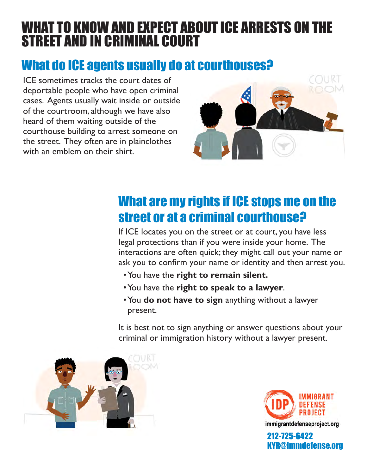#### WHAT TO KNOW AND EXPECT ABOUT ICE ARRESTS ON THE STREET AND IN CRIMINAL COURT

#### What do ICE agents usually do at courthouses?

ICE sometimes tracks the court dates of deportable people who have open criminal cases. Agents usually wait inside or outside of the courtroom, although we have also heard of them waiting outside of the courthouse building to arrest someone on the street. They often are in plainclothes with an emblem on their shirt.



#### What are my rights if ICE stops me on the street or at a criminal courthouse?

If ICE locates you on the street or at court, you have less legal protections than if you were inside your home. The interactions are often quick; they might call out your name or ask you to confrm your name or identity and then arrest you.

- •You have the **right to remain silent.**
- •You have the **right to speak to a lawyer**.
- •You **do not have to sign** anything without a lawyer present.

It is best not to sign anything or answer questions about your criminal or immigration history without a lawyer present.





212-725-6422 KYR@immdefense.org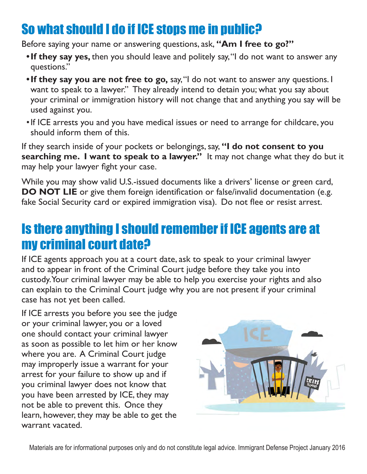## So what should I do if ICE stops me in public?

Before saying your name or answering questions, ask, **"Am I free to go?"**

- **•If they say yes,** then you should leave and politely say, "I do not want to answer any questions."
- **•If they say you are not free to go,** say, "I do not want to answer any questions. I want to speak to a lawyer." They already intend to detain you; what you say about your criminal or immigration history will not change that and anything you say will be used against you.
- •If ICE arrests you and you have medical issues or need to arrange for childcare, you should inform them of this.

If they search inside of your pockets or belongings, say, **"I do not consent to you searching me. I want to speak to a lawyer."** It may not change what they do but it may help your lawyer fght your case.

While you may show valid U.S.-issued documents like a drivers' license or green card, **DO NOT LIE** or give them foreign identification or false/invalid documentation (e.g. fake Social Security card or expired immigration visa). Do not flee or resist arrest.

#### Is there anything I should remember if ICE agents are at my criminal court date?

If ICE agents approach you at a court date, ask to speak to your criminal lawyer and to appear in front of the Criminal Court judge before they take you into custody. Your criminal lawyer may be able to help you exercise your rights and also can explain to the Criminal Court judge why you are not present if your criminal case has not yet been called.

If ICE arrests you before you see the judge or your criminal lawyer, you or a loved one should contact your criminal lawyer as soon as possible to let him or her know where you are. A Criminal Court judge may improperly issue a warrant for your arrest for your failure to show up and if you criminal lawyer does not know that you have been arrested by ICE, they may not be able to prevent this. Once they learn, however, they may be able to get the warrant vacated.

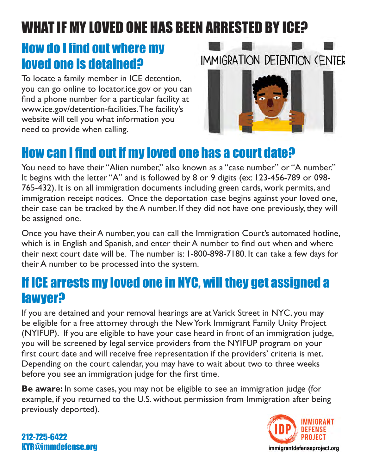# WHAT IF MY LOVED ONE HAS BEEN ARRESTED BY ICE?

#### **How do I find out where my** loved one is detained?

To locate a family member in ICE detention, you can go online to locator.ice.gov or you can fnd a phone number for a particular facility at www.ice.gov/detention-facilities. The facility's website will tell you what information you need to provide when calling.

# IMMIGRATION DETENTION (ENTER



#### How can I find out if my loved one has a court date?

You need to have their "Alien number," also known as a "case number" or "A number." It begins with the letter "A" and is followed by 8 or 9 digits (ex: 123-456-789 or 098- 765-432). It is on all immigration documents including green cards, work permits, and immigration receipt notices. Once the deportation case begins against your loved one, their case can be tracked by the A number. If they did not have one previously, they will be assigned one.

Once you have their A number, you can call the Immigration Court's automated hotline, which is in English and Spanish, and enter their A number to find out when and where their next court date will be. The number is: 1-800-898-7180. It can take a few days for their A number to be processed into the system.

#### If ICE arrests my loved one in NYC, will they get assigned a lawyer?

If you are detained and your removal hearings are at Varick Street in NYC, you may be eligible for a free attorney through the New York Immigrant Family Unity Project (NYIFUP). If you are eligible to have your case heard in front of an immigration judge, you will be screened by legal service providers from the NYIFUP program on your frst court date and will receive free representation if the providers' criteria is met. Depending on the court calendar, you may have to wait about two to three weeks before you see an immigration judge for the frst time.

**Be aware:** In some cases, you may not be eligible to see an immigration judge (for example, if you returned to the U.S. without permission from Immigration after being previously deported).



212-725-6422 KYR@immdefense.org